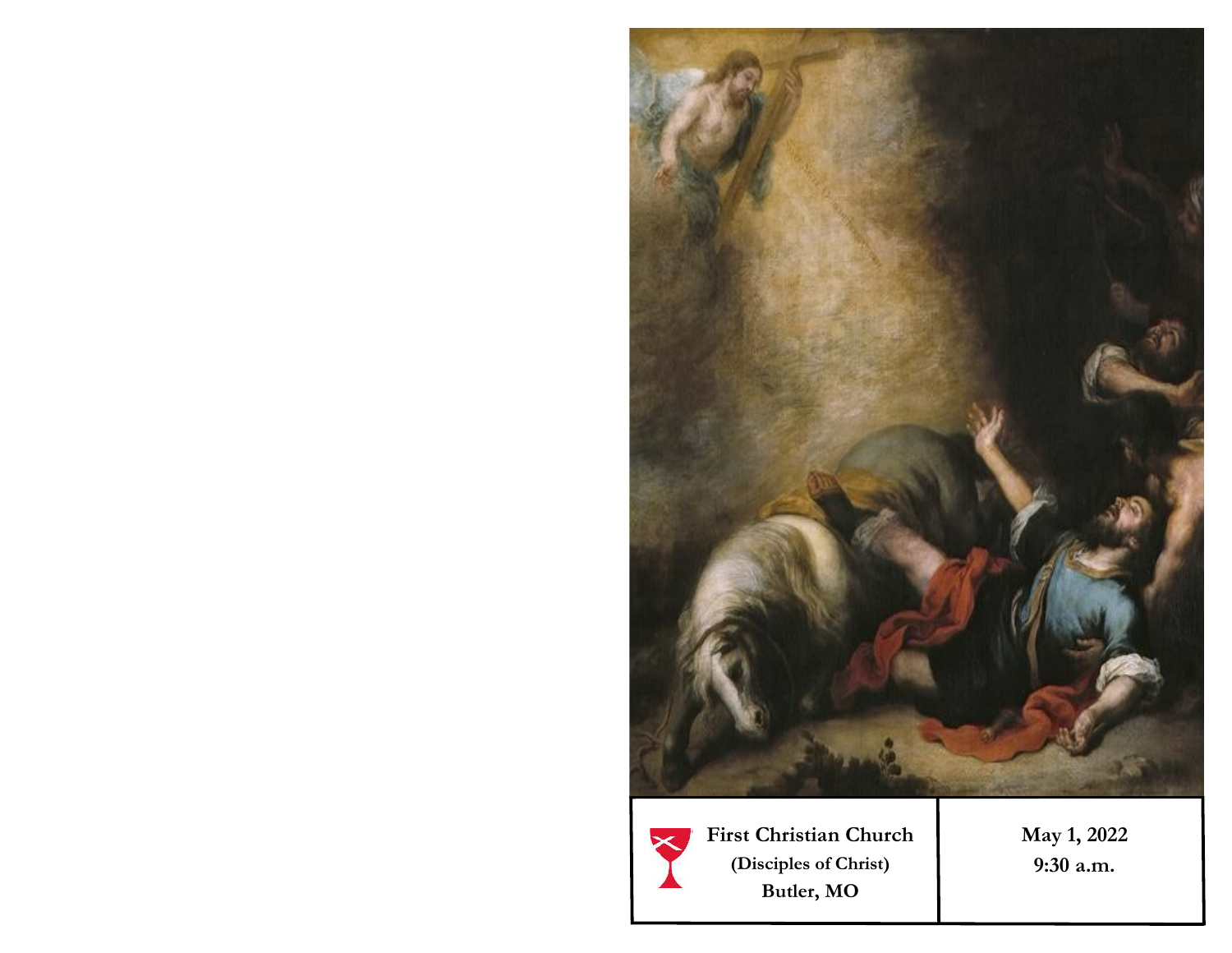

**First Christian Church (Disciples of Christ) Butler, MO** 

**May 1, 2022 9:30 a.m.**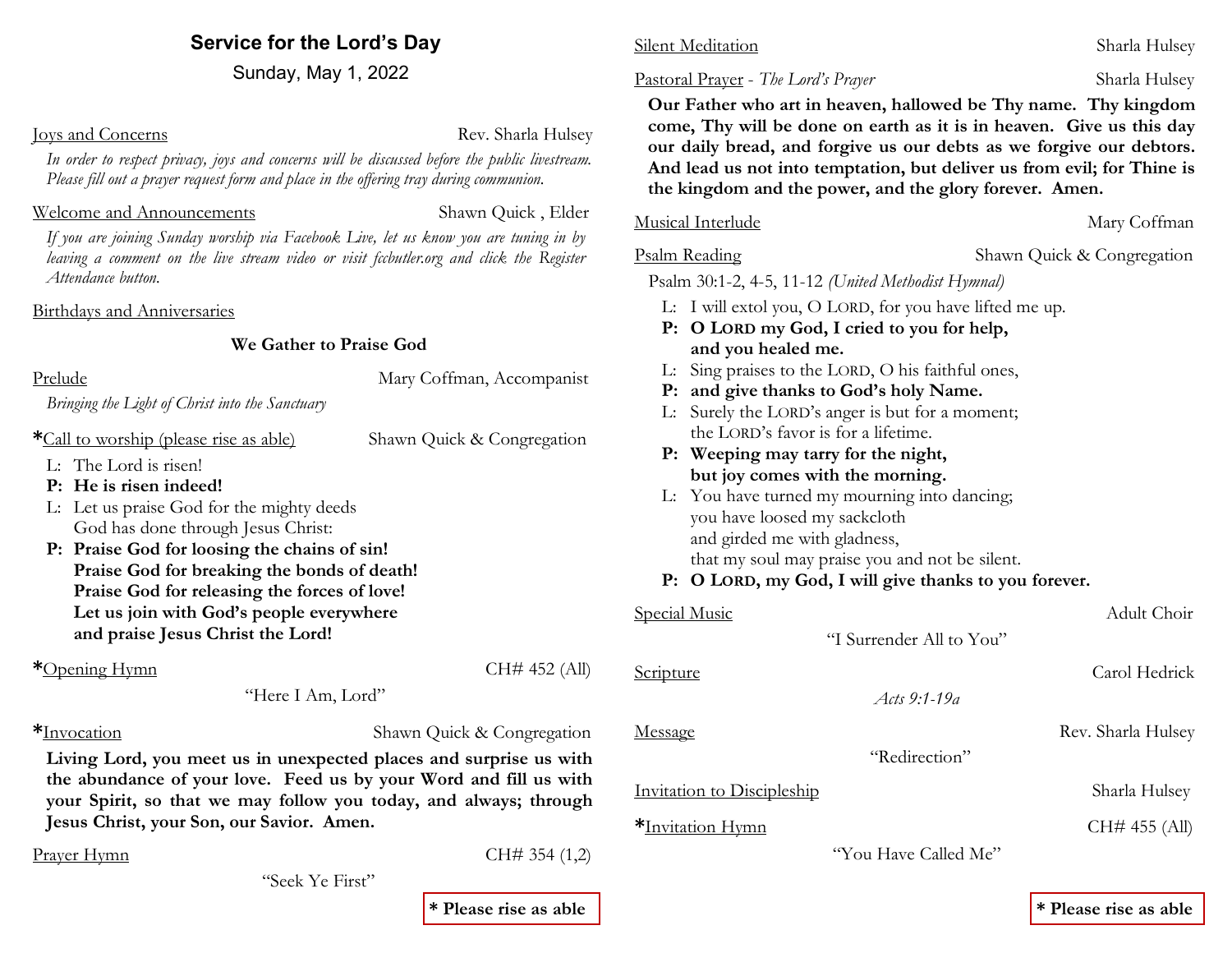## **Service for the Lord's Day**

Sunday, May 1, 2022

*Attendance button.* 

**Joys and Concerns Rev.** Sharla Hulsey

*In order to respect privacy, joys and concerns will be discussed before the public livestream. Please fill out a prayer request form and place in the offering tray during communion.* 

### Welcome and Announcements Shawn Quick , Elder

*If you are joining Sunday worship via Facebook Live, let us know you are tuning in by*  leaving a comment on the live stream video or visit fecbutler.org and click the Register

Birthdays and Anniversaries

### **We Gather to Praise God**

Prelude Mary Coffman, Accompanist

*Bringing the Light of Christ into the Sanctuary*

**\***Call to worship (please rise as able) Shawn Quick & Congregation

L: The Lord is risen!

- **P: He is risen indeed!**
- L: Let us praise God for the mighty deeds God has done through Jesus Christ:
- **P: Praise God for loosing the chains of sin! Praise God for breaking the bonds of death! Praise God for releasing the forces of love! Let us join with God's people everywhere and praise Jesus Christ the Lord!**

**\***Opening Hymn CH# 452 (All)

"Here I Am, Lord"

**\***Invocation Shawn Quick & Congregation

**Living Lord, you meet us in unexpected places and surprise us with the abundance of your love. Feed us by your Word and fill us with your Spirit, so that we may follow you today, and always; through Jesus Christ, your Son, our Savior. Amen.**

 $P$ rayer Hymn  $CH# 354 (1,2)$ 

| "Seek Ye First" |  |
|-----------------|--|
|                 |  |

**\* Please rise as able**

## Silent Meditation Sharla Hulsey

### Pastoral Prayer - *The Lord's Prayer* Sharla Hulsey

 **Our Father who art in heaven, hallowed be Thy name. Thy kingdom come, Thy will be done on earth as it is in heaven. Give us this day our daily bread, and forgive us our debts as we forgive our debtors. And lead us not into temptation, but deliver us from evil; for Thine is the kingdom and the power, and the glory forever. Amen.**

### Musical Interlude Mary Coffman

Psalm Reading Shawn Quick & Congregation

Psalm 30:1-2, 4-5, 11-12 *(United Methodist Hymnal)* 

- L: I will extol you, O LORD, for you have lifted me up.
- **P: O LORD my God, I cried to you for help, and you healed me.**
- L: Sing praises to the LORD, O his faithful ones,
- **P: and give thanks to God's holy Name.**
- L: Surely the LORD's anger is but for a moment; the LORD's favor is for a lifetime.
- **P: Weeping may tarry for the night, but joy comes with the morning.**
- L: You have turned my mourning into dancing; you have loosed my sackcloth and girded me with gladness, that my soul may praise you and not be silent.

## **P: O LORD, my God, I will give thanks to you forever.**

| Special Music              |                          | Adult Choir        |
|----------------------------|--------------------------|--------------------|
|                            | "I Surrender All to You" |                    |
| Scripture                  |                          | Carol Hedrick      |
|                            | Acts $9:1-19a$           |                    |
| Message                    |                          | Rev. Sharla Hulsey |
|                            | "Redirection"            |                    |
| Invitation to Discipleship |                          | Sharla Hulsey      |
| *Invitation Hymn           |                          | CH# 455 (All)      |
|                            | "You Have Called Me"     |                    |

**\* Please rise as able**